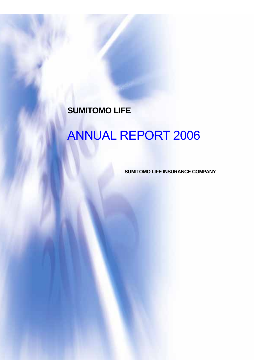# **SUMITOMO LIFE**

Relay Marathon in Yonago

# ANNUAL REPORT 2006

**SUMITOMO LIFE INSURANCE COMPANY**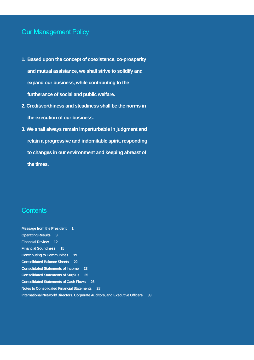# Our Management Policy

- **1. Based upon the concept of coexistence, co-prosperity and mutual assistance, we shall strive to solidify and expand our business, while contributing to the furtherance of social and public welfare.**
- **2. Creditworthiness and steadiness shall be the norms in the execution of our business.**
- **3. We shall always remain imperturbable in judgment and retain a progressive and indomitable spirit, responding to changes in our environment and keeping abreast of the times.**

# **Contents**

| <b>Message from the President 1</b>               |                                                                                   |
|---------------------------------------------------|-----------------------------------------------------------------------------------|
| <b>Operating Results</b><br>$\mathbf{3}$          |                                                                                   |
| <b>Financial Review</b> 12                        |                                                                                   |
| <b>Financial Soundness</b><br>15                  |                                                                                   |
| <b>Contributing to Communities</b>                | 19                                                                                |
| <b>Consolidated Balance Sheets</b>                | 22                                                                                |
| <b>Consolidated Statements of Income</b>          | 23                                                                                |
| <b>Consolidated Statements of Surplus</b>         | 25                                                                                |
| <b>Consolidated Statements of Cash Flows</b>      | 26                                                                                |
| <b>Notes to Consolidated Financial Statements</b> | 28                                                                                |
|                                                   | International Network/Directors, Corporate Auditors, and Executive Officers<br>33 |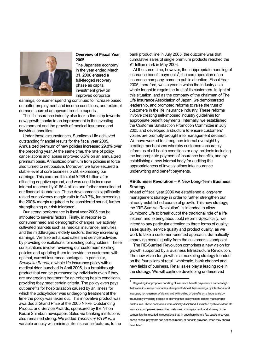

### **Overview of Fiscal Year 2005**

The Japanese economy in the year ended March 31, 2006 entered a full-fledged recovery phase as capital investment grew on improved corporate

earnings, consumer spending continued to increase based on better employment and income conditions, and external demand spurred an upward trend in exports.

The life insurance industry also took a firm step towards new growth thanks to an improvement in the investing environment and the growth of medical insurance and individual annuities.

Under these circumstances, Sumitomo Life achieved outstanding financial results for the fiscal year 2005. Annualized premium of new policies increased 29.8% over the preceding year. At the same time, the rate of policy cancellations and lapses improved 6.5% on an annualized premium basis. Annualized premium from policies in force also turned to net positive. Moreover, we have secured a stable level of core business profit, expressing our earnings. This core profit totaled ¥266.4 billion after offsetting negative spread, and was used to increase internal reserves by ¥165.4 billion and further consolidated our financial foundation. These developments significantly raised our solvency margin ratio to 949.7%, far exceeding the 200% margin required to be considered sound, further strengthening our risk tolerance.

Our strong performance in fiscal year 2005 can be attributed to several factors. Firstly, in response to consumer need and demographic changes, we actively cultivated markets such as medical insurance, annuities, and the middle-aged / elderly sectors, thereby increasing earnings. We also enhanced sales and service activities by providing consultations for existing policyholders. These consultations involve reviewing our customers' existing policies and updating them to provide the customers with optimal, current insurance packages. In particular, *Senkyaku Banrai*, a whole life insurance policy with a medical rider launched in April 2005, is a breakthrough product that can be purchased by individuals even if they are undergoing treatment for an existing health conditions, providing they meet certain criteria. The policy even pays out benefits for hospitalization caused by an illness for which the policyholder was undergoing treatment at the time the policy was taken out. This innovative product was awarded a Grand Prize at the 2005 Nikkei Outstanding Product and Service Awards, sponsored by the Nihon Keizai Shimbun newspaper. Sales via banking institutions also remained strong. We added *Tanoshimi VA Plus*, a variable annuity with minimal life insurance features, to the

bank product line in July 2005; the outcome was that cumulative sales of single premium products reached the ¥1 trillion mark in May 2006.

At the same time, however, the inappropriate handling of insurance benefit payments<sup>1</sup>, the core operation of an insurance company, came to public attention. Fiscal Year 2005, therefore, was a year in which the industry as a whole fought to regain the trust of its customers. In light of this situation, and as the company of the chairman of The Life Insurance Association of Japan, we demonstrated leadership, and promoted reforms to raise the trust of customers in the life insurance industry. These reforms involve creating self-imposed industry guidelines for appropriate benefit payments. Internally, we established the Customer Satisfaction Promotion Committee in July 2005 and developed a structure to ensure customers' voices are promptly brought into management decision. We have worked to strengthen internal oversight by creating mechanisms whereby customers accurately inform us of all health conditions or any incidents including the inappropriate payment of insurance benefits, and by establishing a new internal body for auditing the appropriateness of investigations into insurance underwriting and benefit payments.

### **RE-Sumisei Revolution – A New Long-Term Business Strategy**

Ahead of fiscal year 2006 we established a long-term management strategy in order to further strengthen our already-established course of growth. This new strategy, the "RE-Sumisei Revolution", is intended to allow Sumitomo Life to break out of the traditional role of a life insurer, and to bring about bold reform. Specifically, we intend to pay particular attention to three forms of quality: sales quality, service quality and product quality, as we work to take a customer -oriented approach, dramatically improving overall quality from the customer's standpoint.

The RE-Sumisei Revolution comprises a new vision for growth supported by a Business Infrastructure Revolution. The new vision for growth is a marketing strategy founded on the four pillars of retail, wholesale, bank channel and new fields of business. Retail sales play a leading role in the strategy. We will continue developing underserved

 $\overline{a}$ 

<sup>1</sup> Regarding inappropriate handling of insurance benefit payments, it came to light that some insurance companies attempted to boost their earnings by intentional and improper, non-payment of claims and withholding of benefits on a large scale by fraudulently invaliding policies or claiming that policyholders did not make proper disclosures. These companies were officially disciplined. Prompted by this incident, life insurance companies reexamined instances of non-payment, and at many of the companies this resulted in revelations that, in anywhere from a few cases to several dozen cases, payments had not been made, or benefits provided, when they should have been.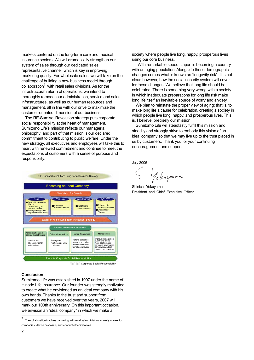markets centered on the long-term care and medical insurance sectors. We will dramatically strengthen our system of sales through our dedicated sales representative channel, which is key in improving marketing quality. For wholesale sales, we will take on the challenge of building a new business model through collaboration $2$  with retail sales divisions. As for the infrastructural reform of operations, we intend to thoroughly remodel our administration, service and sales infrastructures, as well as our human resources and management, all in line with our drive to maximize the customer-oriented dimension of our business.

The RE-Sumisei Revolution strategy puts corporate social responsibility at the heart of management. Sumitomo Life's mission reflects our managerial philosophy, and part of that mission is our declared commitment to contributing to public welfare. Under the new strategy, all executives and employees will take this to heart with renewed commitment and continue to meet the expectations of customers with a sense of purpose and responsibility.



### **Conclusion**

Sumitomo Life was established in 1907 under the name of Hinode Life Insurance. Our founder was strongly motivated to create what he envisioned as an ideal company with his own hands. Thanks to the trust and support from customers we have received over the years, 2007 will mark our 100th anniversary. On this important occasion, we envision an "ideal company" in which we make a

society where people live long, happy, prosperous lives using our core business.

 With remarkable speed, Japan is becoming a country with an aging population. Alongside these demographic changes comes what is known as "longevity risk". It is not clear, however, how the social security system will cover for these changes. We believe that long life should be celebrated. There is something very wrong with a society in which inadequate preparations for long life risk make long life itself an inevitable source of worry and anxiety.

We plan to reinstate the proper view of aging; that is, to make long life a cause for celebration, creating a society in which people live long, happy, and prosperous lives. This is, I believe, precisely our mission.

Sumitomo Life will steadfastly fulfill this mission and steadily and strongly strive to embody this vision of an ideal company so that we may live up to the trust placed in us by customers. Thank you for your continuing encouragement and support.

July 2006

Yokoyama

Shinichi Yokoyama President and Chief Executive Officer

 $\overline{2}$ <sup>2</sup> The collaboration involves partnering with retail sales divisions to jointly market to companies, devise proposals, and conduct other initiatives.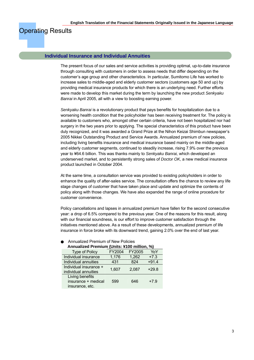# Operating Results

#### **Individual Insurance and Individual Annuities**

The present focus of our sales and service activities is providing optimal, up-to-date insurance through consulting with customers in order to assess needs that differ depending on the customer's age group and other characteristics. In particular, Sumitomo Life has worked to increase sales to middle-aged and elderly customer sectors (customers age 50 and up) by providing medical insurance products for which there is an underlying need. Further efforts were made to develop this market during the term by launching the new product *Senkyaku Banrai* in April 2005, all with a view to boosting earning power.

*Senkyaku Banrai* is a revolutionary product that pays benefits for hospitalization due to a worsening health condition that the policyholder has been receiving treatment for. The policy is available to customers who, amongst other certain criteria, have not been hospitalized nor had surgery in the two years prior to applying. The special characteristics of this product have been duly recognized, and it was awarded a Grand Prize at the Nihon Keizai Shimbun newspaper's 2005 Nikkei Outstanding Product and Service Awards. Annualized premium of new policies, including living benefits insurance and medical insurance based mainly on the middle-aged and elderly customer segments, continued to steadily increase, rising 7.9% over the previous year to ¥64.6 billion. This was thanks mainly to *Senkyaku Banrai,* which developed an underserved market, and to persistently strong sales of *Doctor OK*, a new medical insurance product launched in October 2004.

At the same time, a consultation service was provided to existing policyholders in order to enhance the quality of after-sales service. The consultation offers the chance to review any life stage changes of customer that have taken place and update and optimize the contents of policy along with those changes. We have also expanded the range of online procedure for customer convenience.

Policy cancellations and lapses in annualized premium have fallen for the second consecutive year: a drop of 6.5% compared to the previous year. One of the reasons for this result, along with our financial soundness, is our effort to improve customer satisfaction through the initiatives mentioned above. As a result of these developments, annualized premium of life insurance in force broke with its downward trend, gaining 2.0% over the end of last year.

| Annualized Premium (Units: ¥100 million, %)               |        |        |         |  |  |  |  |
|-----------------------------------------------------------|--------|--------|---------|--|--|--|--|
| <b>Type of Policy</b>                                     | FY2004 | FY2005 | YoY     |  |  |  |  |
| Individual insurance                                      | 1,176  | 1,262  | $+7.3$  |  |  |  |  |
| Individual annuities                                      | 431    | 824    | $+91.4$ |  |  |  |  |
| Individual insurance +<br>individual annuities            | 1,607  | 2,087  | $+29.8$ |  |  |  |  |
| Living benefits<br>insurance + medical<br>insurance, etc. | 599    | 646    | $+7.9$  |  |  |  |  |

**Annualized Premium of New Policies**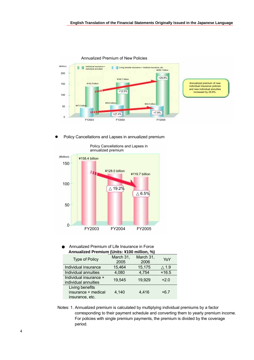

Annualized Premium of New Policies

Policy Cancellations and Lapses in annualized premium



Annualized Premium of Life Insurance in Force **Annualized Premium (Units: ¥100 million, %)** 

|                                                | AMMULLUM I TUMMUL (UMIO, TTUV MMUULI, 70) |                   |         |  |  |  |
|------------------------------------------------|-------------------------------------------|-------------------|---------|--|--|--|
| <b>Type of Policy</b>                          | March 31,<br>2005                         | March 31,<br>2006 | YoY     |  |  |  |
| Individual insurance                           | 15,464                                    | 15,175            | 1.9     |  |  |  |
| Individual annuities                           | 4,080                                     | 4,754             | $+16.5$ |  |  |  |
| Individual insurance +<br>individual annuities | 19,545                                    | 19,929            | $+2.0$  |  |  |  |
| Living benefits<br>insurance + medical         | 4.140                                     | 4,416             | $+6.7$  |  |  |  |
| insurance, etc.                                |                                           |                   |         |  |  |  |

Notes: 1. Annualized premium is calculated by multiplying individual premiums by a factor corresponding to their payment schedule and converting them to yearly premium income. For policies with single premium payments, the premium is divided by the coverage period.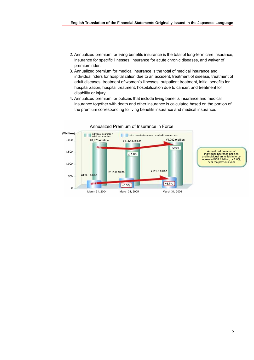- 2. Annualized premium for living benefits insurance is the total of long-term care insurance, insurance for specific illnesses, insurance for acute chronic diseases, and waiver of premium rider.
- 3. Annualized premium for medical insurance is the total of medical insurance and individual riders for hospitalization due to an accident, treatment of disease, treatment of adult diseases, treatment of women's illnesses, outpatient treatment, initial benefits for hospitalization, hospital treatment, hospitalization due to cancer, and treatment for disability or injury.
- 4. Annualized premium for policies that include living benefits insurance and medical insurance together with death and other insurance is calculated based on the portion of the premium corresponding to living benefits insurance and medical insurance.



Annualized Premium of Insurance in Force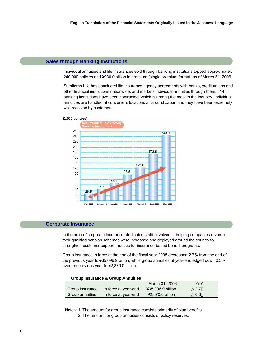### **Sales through Banking Institutions**

Individual annuities and life insurances sold through banking institutions topped approximately 240,000 policies and ¥930.0 billion in premium (single premium format) as of March 31, 2006.

Sumitomo Life has concluded life insurance agency agreements with banks, credit unions and other financial institutions nationwide, and markets individual annuities through them. 314 banking institutions have been contracted, which is among the most in the industry. Individual annuities are handled at convenient locations all around Japan and they have been extremely well received by customers.



#### **(1,000 policies)**

### **Corporate Insurance**

In the area of corporate insurance, dedicated staffs involved in helping companies revamp their qualified pension schemes were increased and deployed around the country to strengthen customer support facilities for insurance-based benefit programs.

Group insurance in force at the end of the fiscal year 2005 decreased 2.7% from the end of the previous year to ¥35,096.9 billion, while group annuities at year-end edged down 0.3% over the previous year to ¥2,870.0 billion.

#### **Group Insurance & Group Annuities**

|                        |                      | March 31, 2006    | YoY |
|------------------------|----------------------|-------------------|-----|
| Group insurance        | In force at year-end | ¥35,096.9 billion | 2.7 |
| <b>Group annuities</b> | In force at year-end | ¥2,870.0 billion  | 0.3 |

Notes: 1. The amount for group insurance consists primarily of plan benefits.

2. The amount for group annuities consists of policy reserves.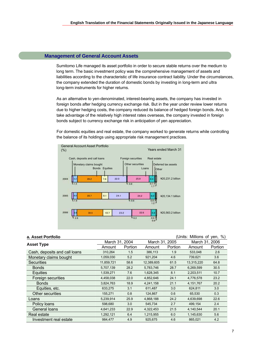### **Management of General Account Assets**

Sumitomo Life managed its asset portfolio in order to secure stable returns over the medium to long term. The basic investment policy was the comprehensive management of assets and liabilities according to the characteristic of life insurance contract liability. Under the circumstances, the company extended the duration of domestic bonds by investing in long-term and ultra long-term instruments for higher returns.

As an alternative to yen-denominated, interest-bearing assets, the company has invested in foreign bonds after hedging currency exchange risk. But in the year under review lower returns due to higher hedging costs, the company reduced its balance of hedged foreign bonds. And, to take advantage of the relatively high interest rates overseas, the company invested in foreign bonds subject to currency exchange risk in anticipation of yen appreciation.

For domestic equities and real estate, the company worked to generate returns while controlling the balance of its holdings using appropriate risk management practices.



| a. Asset Portfolio            |                |         |                |         | (Units: Millions of yen, %) |         |
|-------------------------------|----------------|---------|----------------|---------|-----------------------------|---------|
|                               | March 31, 2004 |         | March 31, 2005 |         | March 31, 2006              |         |
| <b>Asset Type</b>             | Amount         | Portion | Amount         | Portion | Amount                      | Portion |
| Cash, deposits and call loans | 310,264        | 1.5     | 386,113        | 1.9     | 533,048                     | 2.6     |
| Monetary claims bought        | 1,059,030      | 5.2     | 921,204        | 4.6     | 739,621                     | 3.6     |
| <b>Securities</b>             | 11,859,721     | 58.6    | 12,389,605     | 61.5    | 13,315,220                  | 64.8    |
| <b>Bonds</b>                  | 5,707,139      | 28.2    | 5,783,746      | 28.7    | 6,269,599                   | 30.5    |
| Equities                      | 1,539,271      | 7.6     | 1,628,345      | 8.1     | 2,203,511                   | 10.7    |
| Foreign securities            | 4,458,038      | 22.0    | 4,852,646      | 24.1    | 4,776,578                   | 23.2    |
| <b>Bonds</b>                  | 3,824,763      | 18.9    | 4,241,158      | 21.1    | 4,151,767                   | 20.2    |
| Equities, etc.                | 633,275        | 3.1     | 611,487        | 3.0     | 624,811                     | 3.0     |
| <b>Other securities</b>       | 155,271        | 0.8     | 124,867        | 0.6     | 65,530                      | 0.3     |
| Loans                         | 5,239,914      | 25.9    | 4,868,188      | 24.2    | 4,639,698                   | 22.6    |
| Policy loans                  | 598,680        | 3.0     | 545,734        | 2.7     | 499,154                     | 2.4     |
| General loans                 | 4,641,233      | 22.9    | 4,322,453      | 21.5    | 4,140,544                   | 20.1    |
| Real estate                   | 1,292,121      | 6.4     | 1,215,955      | 6.0     | 1,145,630                   | 5.6     |
| Investment real estate        | 984,477        | 4.9     | 925,675        | 4.6     | 865,021                     | 4.2     |

7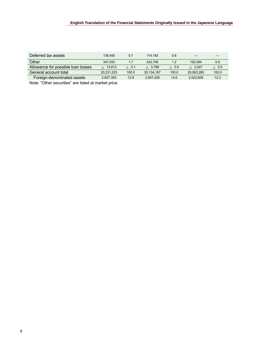# **English Translation of the Financial Statements Originally Issued in the Japanese Language**

| Deferred tax assets                | 136.450    | 0.7   | 114.182    | 0.6   |            |       |
|------------------------------------|------------|-------|------------|-------|------------|-------|
| Other                              | 347.533    | 1.7   | 242.706    | 1.2   | 192.094    | 0.9   |
| Allowance for possible loan losses | 13.813     | 0.1   | 3.788      | 0.0   | 2.047      | 0.0   |
| General account total              | 20,231,223 | 100.0 | 20,134,167 | 100.0 | 20.563.265 | 100.0 |
| Foreign-denominated assets         | 2,607,300  | 12.9  | 2.947.426  | 14.6  | 2.523.609  | 12.3  |

Note: "Other securities" are listed at market price.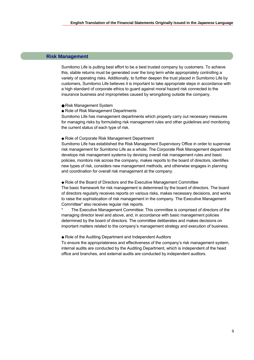## **Risk Management**

Sumitomo Life is putting best effort to be a best trusted company by customers. To achieve this, stable returns must be generated over the long term while appropriately controlling a variety of operating risks. Additionally, to further deepen the trust placed in Sumitomo Life by customers, Sumitomo Life believes it is important to take appropriate steps in accordance with a high standard of corporate ethics to guard against moral hazard risk connected to the insurance business and improprieties caused by wrongdoing outside the company.

Risk Management System

Role of Risk Management Departments

Sumitomo Life has management departments which properly carry out necessary measures for managing risks by formulating risk management rules and other guidelines and monitoring the current status of each type of risk.

#### Role of Corporate Risk Management Department

Sumitomo Life has established the Risk Management Supervisory Office in order to supervise risk management for Sumitomo Life as a whole. The Corporate Risk Management department develops risk management systems by devising overall risk management rules and basic policies, monitors risk across the company, makes reports to the board of directors, identifies new types of risk, considers new management methods, and otherwise engages in planning and coordination for overall risk management at the company.

Role of the Board of Directors and the Executive Management Committee The basic framework for risk management is determined by the board of directors. The board of directors regularly receives reports on various risks, makes necessary decisions, and works to raise the sophistication of risk management in the company. The Executive Management Committee\* also receives regular risk reports.

The Executive Management Committee: This committee is comprised of directors of the managing director level and above, and, in accordance with basic management policies determined by the board of directors. The committee deliberates and makes decisions on important matters related to the company's management strategy and execution of business.

#### Role of the Auditing Department and Independent Auditors

To ensure the appropriateness and effectiveness of the company's risk management system, internal audits are conducted by the Auditing Department, which is independent of the head office and branches, and external audits are conducted by independent auditors.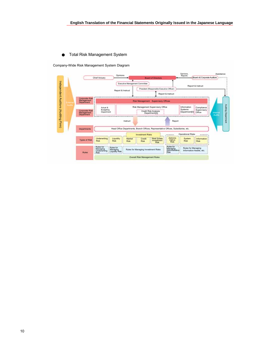### **Total Risk Management System**

Company-Wide Risk Management System Diagram

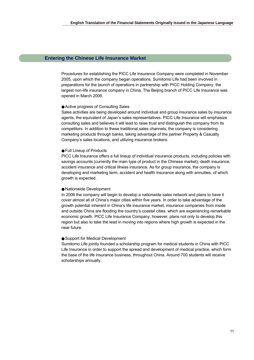## **Entering the Chinese Life Insurance Market**

Procedures for establishing the PICC Life Insurance Company were completed in November 2005, upon which the company began operations. Sumitomo Life had been involved in preparations for the launch of operations in partnership with PICC Holding Company, the largest non-life insurance company in China. The Beijing branch of PICC Life Insurance was opened in March 2006.

#### Active progress of Consulting Sales

Sales activities are being developed around individual and group insurance sales by insurance agents, the equivalent of Japan's sales representatives. PICC Life Insurance will emphasize consulting sales and believes it will lead to raise trust and distinguish the company from its competitors. In addition to these traditional sales channels, the company is considering marketing products through banks, taking advantage of the partner Property & Casualty Company's sales locations, and utilizing insurance brokers.

#### Full Lineup of Products

PICC Life Insurance offers a full lineup of individual insurance products, including policies with savings accounts (currently the main type of product in the Chinese market), death insurance, accident insurance and critical illness insurance. As for group insurance, the company is developing and marketing term, accident and health insurance along with annuities, of which growth is expected.

#### Nationwide Development

In 2006 the company will begin to develop a nationwide sales network and plans to have it cover almost all of China's major cities within five years. In order to take advantage of the growth potential inherent in China's life insurance market, insurance companies from inside and outside China are flooding the country's coastal cities, which are experiencing remarkable economic growth. PICC Life Insurance Company, however, plans not only to develop this region but also to take the lead in moving into regions where high growth is expected in the near future.

#### Support for Medical Development

Sumitomo Life jointly founded a scholarship program for medical students in China with PICC Life Insurance in order to support the spread and development of medical practice, which form the base of the life insurance business, throughout China. Around 700 students will receive scholarships annually.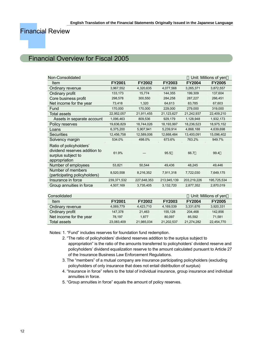# Financial Review

# Financial Overview for Fiscal 2005

| Non-Consolidated                                                                                |               |               |               |               | Unit: Millions of yen |
|-------------------------------------------------------------------------------------------------|---------------|---------------|---------------|---------------|-----------------------|
| Item                                                                                            | <b>FY2001</b> | <b>FY2002</b> | <b>FY2003</b> | <b>FY2004</b> | <b>FY2005</b>         |
| Ordinary revenue                                                                                | 3,967,552     | 4,320,635     | 4,077,568     | 3,265,371     | 3,872,557             |
| Ordinary profit                                                                                 | 133,173       | 15,774        | 144,355       | 199,309       | 137,604               |
| Core business profit                                                                            | 298,578       | 300,550       | 284,258       | 287,227       | 266,451               |
| Net income for the year                                                                         | 73,418        | 1,320         | 64,613        | 83,785        | 67,603                |
| Fund                                                                                            | 170,000       | 170,000       | 229,000       | 279,000       | 319,000               |
| Total assets                                                                                    | 22,952,057    | 21,911,455    | 21,123,627    | 21,242,937    | 22,409,210            |
| Assets in separate account                                                                      | 1,096,463     | 809,536       | 929,179       | 1,128,948     | 1,932,173             |
| Policy reserves                                                                                 | 19,636,829    | 18,744,026    | 18,193,997    | 18,236,523    | 18,975,152            |
| Loans                                                                                           | 6,375,200     | 5,907,941     | 5,239,914     | 4,868,188     | 4,639,698             |
| <b>Securities</b>                                                                               | 12,456,758    | 12,589,006    | 12,668,484    | 13,400,091    | 15,096,402            |
| Solvency margin                                                                                 | 534.0%        | 498.0%        | 673.6%        | 763.2%        | 949.7%                |
| Ratio of policyholders'<br>dividend reserves addition to<br>surplus subject to<br>appropriation | 61.9%         |               | 95.5          | 66.7          | 99.4                  |
| Number of employees                                                                             | 53,821        | 50,544        | 49,436        | 48,245        | 49,446                |
| Number of members<br>(participating policyholders)                                              | 8,520,558     | 8,216,352     | 7,911,318     | 7,722,030     | 7,649,175             |
| Insurance in force                                                                              | 239,371,532   | 227,648,353   | 213,945,139   | 203,219,226   | 195,725,534           |
| Group annuities in force                                                                        | 4,507,169     | 3,735,405     | 3,132,720     | 2,877,352     | 2,870,019             |

| Consolidated            |               |               |               |               | Unit: Millions of yen |
|-------------------------|---------------|---------------|---------------|---------------|-----------------------|
| Item                    | <b>FY2001</b> | <b>FY2002</b> | <b>FY2003</b> | <b>FY2004</b> | <b>FY2005</b>         |
| Ordinary revenue        | 4,069,779     | 4.423.710     | 4.169.539     | 3,331,676     | 3,920,331             |
| Ordinary profit         | 147,378       | 21.463        | 155.128       | 204.468       | 142,856               |
| Net income for the year | 78.197        | 1.877         | 80.097        | 85.592        | 71.581                |
| Total assets            | 23,083,409    | 21,985,034    | 21,202,537    | 21,274,282    | 22,454,770            |

Notes: 1. "Fund" includes reserves for foundation fund redemption.

- 2. "The ratio of policyholders' dividend reserves addition to the surplus subject to appropriation" is the ratio of the amounts transferred to policyholders' dividend reserve and policyholders' dividend equalization reserve to the amount calculated pursuant to Article 27 of the Insurance Business Law Enforcement Regulations.
- 3. The "members" of a mutual company are insurance participating policyholders (excluding policyholders of only insurance that does not entail distribution of surplus)
- 4. "Insurance in force" refers to the total of individual insurance, group insurance and individual annuities in force.
- 5. "Group annuities in force" equals the amount of policy reserves.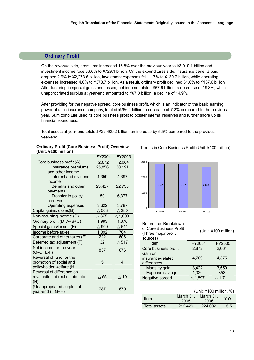## **Ordinary Profit**

On the revenue side, premiums increased 16.8% over the previous year to ¥3,019.1 billion and investment income rose 36.6% to ¥729.1 billion. On the expenditures side, insurance benefits paid dropped 2.9% to ¥2,273.6 billion, investment expenses fell 11.7% to ¥139.7 billion, while operating expenses increased 4.6% to ¥378.7 billion. As a result, ordinary profit declined 31.0% to ¥137.6 billion. After factoring in special gains and losses, net income totaled ¥67.6 billion, a decrease of 19.3%, while unappropriated surplus at year-end amounted to ¥67.0 billion, a decline of 14.9%.

After providing for the negative spread, core business profit, which is an indicator of the basic earning power of a life insurance company, totaled ¥266.4 billion, a decrease of 7.2% compared to the previous year. Sumitomo Life used its core business profit to bolster internal reserves and further shore up its financial soundness.

 $\Omega$ 

Total assets at year-end totaled ¥22,409.2 billion, an increase by 5.5% compared to the previous year-end.

# **Ordinary Profit (Core Business Profit) Overview** Trends in Core Business Profit (Unit: ¥100 million) **(Unit: ¥100 million)**

|                                  | FY2004 | FY2005 |
|----------------------------------|--------|--------|
| Core business profit (A)         | 2,872  | 2,664  |
| Insurance premiums               | 25,856 | 30,191 |
| and other income                 |        |        |
| Interest and dividend            | 4,359  | 4,397  |
| income                           |        |        |
| Benefits and other               | 23,427 | 22,736 |
| payments                         |        |        |
| Transfer to policy               | 50     | 6,377  |
| reserves                         |        |        |
| Operating expenses               | 3,622  | 3,787  |
| Capital gains/losses(B)          | 503    | 280    |
| Non-recurring income (C)         | 375    | 1,008  |
| Ordinary profit (D=A+B+C)        | 1,993  | 1,376  |
| Special gains/losses (E)         | 900    | 611    |
| Income before taxes              | 1,092  | 764    |
| Corporate and other taxes (F)    | 222    | 606    |
| Deferred tax adjustment (F)      | 32     | 517    |
| Net income for the year          | 837    | 676    |
| $(G=D+E-F)$                      |        |        |
| Reversal of fund for the         |        |        |
| promotion of social and          | 5      | 4      |
| policyholder welfare (H)         |        |        |
| Reversal of difference on        |        |        |
| revaluation of real estate, etc. | 55     | 10     |
| (H)                              |        |        |
| (Unappropriated surplus at       | 787    | 670    |
| year-end (I=G+H)                 |        |        |



| <b>FY2003</b><br><b>FY2004</b>                                                     | <b>FY2005</b>  |                      |
|------------------------------------------------------------------------------------|----------------|----------------------|
| Reference: Breakdown<br>of Core Business Profit<br>(Three major profit<br>sources) |                | (Unit: ¥100 million) |
| Item                                                                               | FY2004         | <b>FY2005</b>        |
| Core business profit                                                               | 2.872          | 2,664                |
| Gain on<br>insurance-related<br>differences                                        | 4,769          | 4,375                |
| Mortality gain<br><b>Expense savings</b>                                           | 3,422<br>1,320 | 3,550<br>853         |
| Negative spread                                                                    | 1,897          | 1,711                |

|                     | (Unit: $4100$ million, $\%$ ) |                   |        |  |  |
|---------------------|-------------------------------|-------------------|--------|--|--|
| Item                | March 31.<br>2005             | March 31.<br>2006 | YoY    |  |  |
| <b>Total assets</b> | 212.429                       | 224.092           | $+5.5$ |  |  |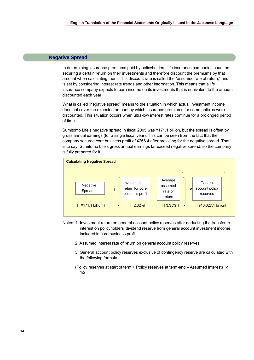### **Negative Spread**

In determining insurance premiums paid by policyholders, life insurance companies count on securing a certain return on their investments and therefore discount the premiums by that amount when calculating them. This discount rate is called the "assumed rate of return," and it is set by considering interest rate trends and other information. This means that a life insurance company expects to earn income on its investments that is equivalent to the amount discounted each year.

What is called "negative spread" means to the situation in which actual investment income does not cover the expected amount by which insurance premiums for some policies were discounted. This situation occurs when ultra-low interest rates continue for a prolonged period of time.

Sumitomo Life's negative spread in fiscal 2005 was ¥171.1 billion, but the spread is offset by gross annual earnings (for a single fiscal year). This can be seen from the fact that the company secured core business profit of ¥266.4 after providing for the negative spread. That is to say, Sumitomo Life's gross annual earnings far exceed negative spread, so the company is fully prepared for it.



- Notes: 1. Investment return on general account policy reserves after deducting the transfer to interest on policyholders' dividend reserve from general account investment income included in core business profit.
	- 2. Assumed interest rate of return on general account policy reserves.
	- 3. General account policy reserves exclusive of contingency reserve are calculated with the following formula.
	- (Policy reserves at start of term + Policy reserves at term-end Assumed interest)  $\times$ 1/2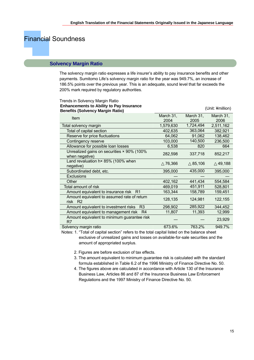# Financial Soundness

### **Solvency Margin Ratio**

The solvency margin ratio expresses a life insurer's ability to pay insurance benefits and other payments. Sumitomo Life's solvency margin ratio for the year was 949.7%, an increase of 186.5% points over the previous year. This is an adequate, sound level that far exceeds the 200% mark required by regulatory authorities.

| Trends in Solvency Margin Ratio                                          |           |           |                  |
|--------------------------------------------------------------------------|-----------|-----------|------------------|
| <b>Enhancements to Ability to Pay Insurance</b>                          |           |           | (Unit: ¥million) |
| <b>Benefits (Solvency Margin Ratio)</b>                                  |           |           |                  |
| Item                                                                     | March 31, | March 31, | March 31,        |
|                                                                          | 2004      | 2005      | 2006             |
| Total solvency margin                                                    | 1,579,630 | 1,724,494 | 2,511,162        |
| Total of capital section                                                 | 402,635   | 363,064   | 382,921          |
| Reserve for price fluctuations                                           | 64,062    | 91,062    | 138,462          |
| Contingency reserve                                                      | 103,000   | 140,500   | 236,500          |
| Allowance for possible loan losses                                       | 6,538     | 820       | 664              |
| Unrealized gains on securities × 90% (100%                               |           |           |                  |
| when negative)                                                           | 282,598   | 337,718   | 852,217          |
| Land revaluation h× 85% (100% when                                       | 76,366    | 85,106    | 49,188           |
| negative)                                                                |           |           |                  |
| Subordinated debt, etc.                                                  | 395,000   | 435,000   | 395,000          |
| <b>Exclusions</b>                                                        |           |           |                  |
| Other                                                                    | 402,162   | 441,434   | 554,584          |
| Total amount of risk                                                     | 469,019   | 451,911   | 528,801          |
| Amount equivalent to insurance risk<br>R <sub>1</sub>                    | 163,344   | 158,789   | 159,451          |
| Amount equivalent to assumed rate of return                              |           |           |                  |
| R <sub>2</sub><br>risk                                                   | 128,135   | 124,981   | 122,155          |
| Amount equivalent to investment risks<br>R <sub>3</sub>                  | 298,902   | 285,922   | 344,452          |
| Amount equivalent to management risk<br>R <sub>4</sub>                   | 11,807    | 11,393    | 12,999           |
| Amount equivalent to minimum guarantee risk                              |           |           |                  |
| R7                                                                       |           |           | 23,929           |
| Solvency margin ratio                                                    | 673.6%    | 763.2%    | 949.7%           |
| 1919 - A. A. A. L. L. L. L. L.<br>the state of the state of the state of |           |           |                  |

Notes: 1. "Total of capital section" refers to the total capital listed on the balance sheet exclusive of unrealized gains and losses on available-for-sale securities and the amount of appropriated surplus.

2. Figures are before exclusion of tax effects.

- 3. The amount equivalent to minimum guarantee risk is calculated with the standard formula established in Table 6.2 of the 1996 Ministry of Finance Directive No. 50.
- 4. The figures above are calculated in accordance with Article 130 of the Insurance Business Law, Articles 86 and 87 of the Insurance Business Law Enforcement Regulations and the 1997 Ministry of Finance Directive No. 50.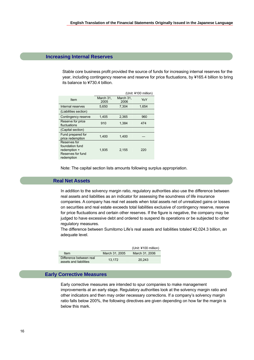### **Increasing Internal Reserves**

Stable core business profit provided the source of funds for increasing internal reserves for the year, including contingency reserve and reserve for price fluctuations, by ¥165.4 billion to bring its balance to ¥730.4 billion.

| (Unit: ¥100 million)                                                               |                   |                   |       |
|------------------------------------------------------------------------------------|-------------------|-------------------|-------|
| Item                                                                               | March 31,<br>2005 | March 31,<br>2006 | YoY   |
| Internal reserves                                                                  | 5,650             | 7,304             | 1,654 |
| (Liabilities section)                                                              |                   |                   |       |
| Contingency reserve                                                                | 1,405             | 2,365             | 960   |
| Reserve for price<br>fluctuations                                                  | 910               | 1.384             | 474   |
| (Capital section)                                                                  |                   |                   |       |
| Fund prepared for<br>price redemption                                              | 1,400             | 1,400             |       |
| Reserves for<br>foundation fund<br>redemption +<br>Reserves for fund<br>redemption | 1,935             | 2,155             | 220   |

Note: The capital section lists amounts following surplus appropriation.

### **Real Net Assets**

In addition to the solvency margin ratio, regulatory authorities also use the difference between real assets and liabilities as an indicator for assessing the soundness of life insurance companies. A company has real net assets when total assets net of unrealized gains or losses on securities and real estate exceeds total liabilities exclusive of contingency reserve, reserve for price fluctuations and certain other reserves. If the figure is negative, the company may be judged to have excessive debt and ordered to suspend its operations or be subjected to other regulatory measures.

The difference between Sumitomo Life's real assets and liabilities totaled ¥2,024.3 billion, an adequate level.

|                                                   |                | (Unit: ¥100 million) |
|---------------------------------------------------|----------------|----------------------|
| Item                                              | March 31, 2005 | March 31, 2006       |
| Difference between real<br>assets and liabilities | 13.172         | 20.243               |

### **Early Corrective Measures**

Early corrective measures are intended to spur companies to make management improvements at an early stage. Regulatory authorities look at the solvency margin ratio and other indicators and then may order necessary corrections. If a company's solvency margin ratio falls below 200%, the following directives are given depending on how far the margin is below this mark.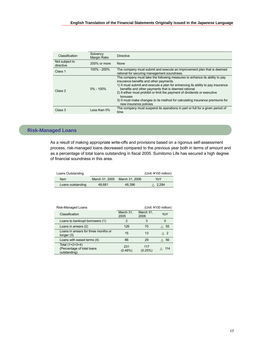| Classification              | Solvency<br><b>Margin Ratio</b> | <b>Directive</b>                                                                                                                                                                                                                                                                                                                                                                                                                                                 |
|-----------------------------|---------------------------------|------------------------------------------------------------------------------------------------------------------------------------------------------------------------------------------------------------------------------------------------------------------------------------------------------------------------------------------------------------------------------------------------------------------------------------------------------------------|
| Not subject to<br>directive | 200% or more                    | None                                                                                                                                                                                                                                                                                                                                                                                                                                                             |
| Class 1                     | $100\% - 200\%$                 | The company must submit and execute an improvement plan that is deemed<br>rational for securing management soundness.                                                                                                                                                                                                                                                                                                                                            |
| Class 2                     | $0\% - 100\%$                   | The company must take the following measures to enhance its ability to pay<br>insurance benefits and other payments.<br>1) It must submit and execute a plan for enhancing its ability to pay insurance<br>benefits and other payments that is deemed rational<br>2) It either must prohibit or limit the payment of dividends or executive<br>bonuses<br>3) It must make changes to its method for calculating insurance premiums for<br>new insurance policies |
| Class 3                     | Less than 0%                    | The company must suspend its operations in part or full for a given period of<br>time                                                                                                                                                                                                                                                                                                                                                                            |

# **Risk-Managed Loans**

As a result of making appropriate write-offs and provisions based on a rigorous self-assessment process, risk-managed loans decreased compared to the previous year both in terms of amount and as a percentage of total loans outstanding in fiscal 2005. Sumitomo Life has secured a high degree of financial soundness in this area.

| Loans Outstanding |                |                | (Unit: $4100$ million) |
|-------------------|----------------|----------------|------------------------|
| <b>Item</b>       | March 31, 2005 | March 31, 2006 | YoY                    |
| Loans outstanding | 48.681         | 46.396         | 2.284                  |

| Risk-Managed Loans                                              | (Unit: ¥100 million) |                   |          |  |  |
|-----------------------------------------------------------------|----------------------|-------------------|----------|--|--|
| Classification                                                  | March 31,<br>2005    | March 31,<br>2006 | YoY      |  |  |
| Loans to bankrupt borrowers (1)                                 | 2                    | 3                 | $\Omega$ |  |  |
| Loans in arrears (2)                                            | 126                  | 70                | 55       |  |  |
| Loans in arrears for three months or<br>longer $(3)$            | 15                   | 13                | 2        |  |  |
| Loans with eased terms (4)                                      | 86                   | 29                | 56       |  |  |
| Total $(1+2+3+4)$<br>(Percentage of total loans<br>outstanding) | 231<br>$(0.48\%)$    | 117<br>(0.25%)    | 114      |  |  |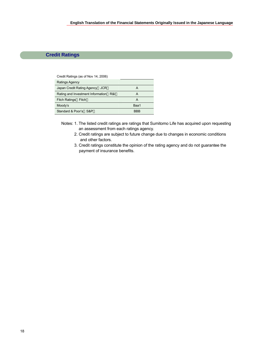# **Credit Ratings**

| Credit Ratings (as of Nov 14, 2006) |  |  |
|-------------------------------------|--|--|
|-------------------------------------|--|--|

| Ratings Agency                        |            |
|---------------------------------------|------------|
| Japan Credit Rating Agency<br>JCR     | А          |
| Rating and Investment Information R&I | A          |
| Fitch Ratings Fitch                   | А          |
| Moody's                               | Baa1       |
| Standard & Poor's S&P                 | <b>RRR</b> |

- Notes: 1. The listed credit ratings are ratings that Sumitomo Life has acquired upon requesting an assessment from each ratings agency.
	- 2. Credit ratings are subject to future change due to changes in economic conditions and other factors.
	- 3. Credit ratings constitute the opinion of the rating agency and do not guarantee the payment of insurance benefits.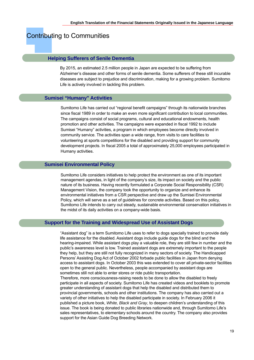# Contributing to Communities

### **Helping Sufferers of Senile Dementia**

By 2015, an estimated 2.5 million people in Japan are expected to be suffering from Alzheimer's disease and other forms of senile dementia. Some sufferers of these still incurable diseases are subject to prejudice and discrimination, making for a growing problem. Sumitomo Life is actively involved in tackling this problem.

### **Sumisei "Humany" Activities**

Sumitomo Life has carried out "regional benefit campaigns" through its nationwide branches since fiscal 1989 in order to make an even more significant contribution to local communities. The campaigns consist of social programs, cultural and educational endowments, health promotion and other activities. The campaigns were expanded in fiscal 1992 to include Sumisei "Humany" activities, a program in which employees become directly involved in community service. The activities span a wide range, from visits to care facilities to volunteering at sports competitions for the disabled and providing support for community development projects. In fiscal 2005 a total of approximately 25,000 employees participated in Humany activities.

### **Sumisei Environmental Policy**

Sumitomo Life considers initiatives to help protect the environment as one of its important management agendas, in light of the company's size, its impact on society and the public nature of its business. Having recently formulated a Corporate Social Responsibility (CSR) Management Vision, the company took the opportunity to organize and enhance its environmental initiatives from a CSR perspective and draw up the Sumisei Environmental Policy, which will serve as a set of guidelines for concrete activities. Based on this policy, Sumitomo Life intends to carry out steady, sustainable environmental conservation initiatives in the midst of its daily activities on a company-wide basis.

### **Support for the Training and Widespread Use of Assistant Dogs**

"Assistant dog" is a term Sumitomo Life uses to refer to dogs specially trained to provide daily life assistance for the disabled. Assistant dogs include guide dogs for the blind and the hearing-impaired. While assistant dogs play a valuable role, they are still few in number and the public's awareness level is low. Trained assistant dogs are extremely important to the people they help, but they are still not fully recognized in many sectors of society. The Handicapped Persons' Assisting Dog Act of October 2002 forbade public facilities in Japan from denying access to assistant dogs. In October 2003 this was extended to cover all private-sector facilities open to the general public. Nevertheless, people accompanied by assistant dogs are sometimes still not able to enter stores or ride public transportation.

Therefore, more consciousness-raising needs to be done to allow the disabled to freely participate in all aspects of society. Sumitomo Life has created videos and booklets to promote greater understanding of assistant dogs that help the disabled and distributed them to provincial governments, schools and other institutions. The company has also carried out a variety of other initiatives to help the disabled participate in society. In February 2006 it published a picture book, *White, Black and Gray*, to deepen children's understanding of this issue. The book is being donated to public libraries nationwide and, through Sumitomo Life's sales representatives, to elementary schools around the country. The company also provides support for the Asian Guide Dog Breeding Network.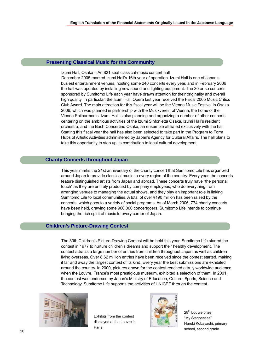### **Presenting Classical Music for the Community**

Izumi Hall, Osaka – An 821 seat classical-music concert hall December 2005 marked Izumi Hall's 16th year of operation. Izumi Hall is one of Japan's busiest entertainment venues, hosting some 240 concerts every year, and in February 2006 the hall was updated by installing new sound and lighting equipment. The 30 or so concerts sponsored by Sumitomo Life each year have drawn attention for their originality and overall high quality. In particular, the Izumi Hall Opera last year received the Fiscal 2005 Music Critics Club Award. The main attraction for this fiscal year will be the Vienna Music Festival in Osaka 2006, which was planned in partnership with the Musikverein of Vienna, the home of the Vienna Philharmonic. Izumi Hall is also planning and organizing a number of other concerts centering on the ambitious activities of the Izumi Sinfonietta Osaka, Izumi Hall's resident orchestra, and the Bach Concertino Osaka, an ensemble affiliated exclusively with the hall. Starting this fiscal year the hall has also been selected to take part in the Program to Form Hubs of Artistic Activities administered by Japan's Agency for Cultural Affairs. The hall plans to take this opportunity to step up its contribution to local cultural development.

# **Charity Concerts throughout Japan**

This year marks the 21st anniversary of the charity concert that Sumitomo Life has organized around Japan to provide classical music to every region of the country. Every year, the concerts feature distinguished artists from Japan and abroad. These concerts truly have "the personal touch" as they are entirely produced by company employees, who do everything from arranging venues to managing the actual shows, and they play an important role in linking Sumitomo Life to local communities. A total of over ¥190 million has been raised by the concerts, which goes to a variety of social programs. As of March 2006, 774 charity concerts have been held, drawing some 960,000 concertgoers. Sumitomo Life intends to continue bringing the rich spirit of music to every corner of Japan.

# **Children's Picture-Drawing Contest**

The 30th Children's Picture-Drawing Contest will be held this year. Sumitomo Life started the contest in 1977 to nurture children's dreams and support their healthy development. The contest attracts a large number of entries from children throughout Japan as well as children living overseas. Over 8.62 million entries have been received since the contest started, making it far and away the largest contest of its kind. Every year the best submissions are exhibited around the country. In 2000, pictures drawn for the contest reached a truly worldwide audience when the Louvre, France's most prestigious museum, exhibited a selection of them. In 2001, the contest was endorsed by Japan's Ministry of Education, Culture, Sports, Science and Technology. Sumitomo Life supports the activities of UNICEF through the contest.



Exhibits from the contest displayed at the Louvre in Paris



28<sup>th</sup> Louvre prize "My Stagbeetles" Haruki Kobayashi, primary school, second grade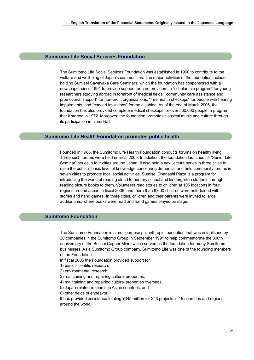### **Sumitomo Life Social Services Foundation**

The Sumitomo Life Social Services Foundation was established in 1960 to contribute to the welfare and wellbeing of Japan's communities. The major activities of the foundation include holding Sumisei Sawayaka Care Seminars, which the foundation has cosponsored with a newspaper since 1991 to provide support for care providers, a "scholarship program" for young researchers studying abroad in forefront of medical fields, "community care assistance and promotional support" for non-profit organizations, "free health checkups" for people with hearing impairments, and "concert invitations" for the disabled. As of the end of March 2006, the foundation has also provided complete medical checkups for over 560,000 people, a program that it started in 1972. Moreover, the foundation promotes classical music and culture through its participation in Izumi Hall.

### **Sumitomo Life Health Foundation promotes public health**

Founded in 1985, the Sumitomo Life Health Foundation conducts forums on healthy living. Three such forums were held in fiscal 2005. In addition, the foundation launched its "Senior Life Seminar" series in four cities around Japan. It also held a new lecture series in three cities to raise the public's basic level of knowledge concerning dementia, and held community forums in seven cities to promote local social activities. Sumisei Ohanashi Plaza is a program for introducing the world of reading aloud to nursery school and kindergarten students through reading picture books to them. Volunteers read stories to children at 105 locations in four regions around Japan in fiscal 2005, and more than 9,600 children were entertained with stories and hand games. In three cities, children and their parents were invited to large auditoriums, where books were read and hand games played on stage.

# **Sumitomo Foundation**

The Sumitomo Foundation is a multipurpose philanthropic foundation that was established by 20 companies in the Sumitomo Group in September 1991 to help commemorate the 300th anniversary of the Besshi Copper Mine, which served as the foundation for many Sumitomo businesses. As a Sumitomo Group company, Sumitomo Life was one of the founding members of the Foundation.

- In fiscal 2005 the Foundation provided support for
- 1) basic scientific research,
- 2) environmental research,
- 3) maintaining and repairing cultural properties,
- 4) maintaining and repairing cultural properties overseas,
- 5) Japan-related research in Asian countries, and
- 6) other fields of endeavor.

It has provided assistance totaling ¥345 million for 243 projects in 15 countries and regions around the world.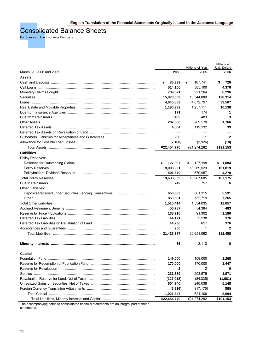# Consolidated Balance Sheets

For Sumitomo Life Insurance Company

|                                                                                                                                                                                                                                |                  |                         | Millions of          |
|--------------------------------------------------------------------------------------------------------------------------------------------------------------------------------------------------------------------------------|------------------|-------------------------|----------------------|
| March 31, 2006 and 2005                                                                                                                                                                                                        | 2006             | Millions of Yen<br>2005 | U.S. Dollars<br>2006 |
| <b>Assets</b>                                                                                                                                                                                                                  |                  |                         |                      |
|                                                                                                                                                                                                                                | 85,339<br>¥      | ¥<br>107,741            | 726<br>\$            |
|                                                                                                                                                                                                                                | 514,100          | 385,100                 | 4,376                |
| Monetary Claims Bought manufactured and the control of the control of the control of the control of the control of the control of the control of the control of the control of the control of the control of the control of th | 739,621          | 921,204                 | 6,296                |
|                                                                                                                                                                                                                                | 15,073,069       |                         |                      |
|                                                                                                                                                                                                                                | 4,640,889        | 13,344,889<br>4,872,797 | 128,314<br>39,507    |
|                                                                                                                                                                                                                                |                  |                         |                      |
|                                                                                                                                                                                                                                | 1,190,932<br>171 | 1,257,111<br>174        | 10,138               |
|                                                                                                                                                                                                                                | 409              |                         | 1<br>3               |
|                                                                                                                                                                                                                                |                  | 483                     |                      |
|                                                                                                                                                                                                                                | 207,500          | 269,570                 | 1,766                |
|                                                                                                                                                                                                                                | 4,664            | 119,132                 | 39                   |
|                                                                                                                                                                                                                                |                  |                         |                      |
|                                                                                                                                                                                                                                | 260              | $\mathbf 1$             | $\overline{2}$       |
|                                                                                                                                                                                                                                | (2, 188)         | (3,924)                 | (18)                 |
|                                                                                                                                                                                                                                | ¥22,454,770      | ¥21,274,282             | \$191,153            |
| Liabilities                                                                                                                                                                                                                    |                  |                         |                      |
| Policy Reserves:                                                                                                                                                                                                               |                  |                         |                      |
|                                                                                                                                                                                                                                | 127,397<br>¥     | 127,198<br>¥            | \$<br>1,084          |
|                                                                                                                                                                                                                                | 19,008,991       | 18,269,529              | 161,819              |
|                                                                                                                                                                                                                                | 501,670          | 570,957                 | 4,270                |
| <b>Total Policy Reserves</b>                                                                                                                                                                                                   | 19,638,059       | 18,967,685              | 167,175              |
|                                                                                                                                                                                                                                | 742              | 757                     | 6                    |
| Other Liabilities:                                                                                                                                                                                                             |                  |                         |                      |
|                                                                                                                                                                                                                                | 656,883          | 801,315                 | 5,591                |
|                                                                                                                                                                                                                                | 853,531          | 732,719                 | 7,265                |
| <b>Total Other Liabilities</b>                                                                                                                                                                                                 | 1,510,414        | 1,534,035               | 12,857               |
| Accrued Retirement Benefits ……………………………………………………………………………………                                                                                                                                                                   | 56,787           | 54,384                  | 483                  |
|                                                                                                                                                                                                                                | 138,715          | 91,302                  | 1,180                |
|                                                                                                                                                                                                                                | 44,171           | 2,238                   | 376                  |
|                                                                                                                                                                                                                                | 44,236           | 657                     | 376                  |
|                                                                                                                                                                                                                                | 260              | $\mathbf 1$             | $\mathbf{2}$         |
|                                                                                                                                                                                                                                | 21,433,387       | 20,651,062              | 182,458              |
|                                                                                                                                                                                                                                |                  |                         |                      |
|                                                                                                                                                                                                                                | 35               | 2.113                   | 0                    |
|                                                                                                                                                                                                                                |                  |                         |                      |
| <b>Capital</b>                                                                                                                                                                                                                 |                  |                         |                      |
|                                                                                                                                                                                                                                | 149,000          | 109,000                 | 1,268                |
|                                                                                                                                                                                                                                | 170,000          | 170,000                 | 1,447                |
| Reserve for Revaluation measurements and reserve the control of the control of the control of the control of t                                                                                                                 | $\mathbf{2}$     | 2                       | 0                    |
|                                                                                                                                                                                                                                | 231,539          | 203,576                 | 1,971                |
|                                                                                                                                                                                                                                | (127, 018)       | (84, 335)               | (1,081)              |
|                                                                                                                                                                                                                                | 604,740          | 240,038                 | 5,148                |
|                                                                                                                                                                                                                                | (6,916)          | (17, 175)               | (58)                 |
|                                                                                                                                                                                                                                | 1,021,347        | 621,106                 | 8,694                |
|                                                                                                                                                                                                                                | ¥22,454,770      | ¥21,274,282             | \$191,153            |

The accompanying notes to consolidated financial statements are an integral part of these statements.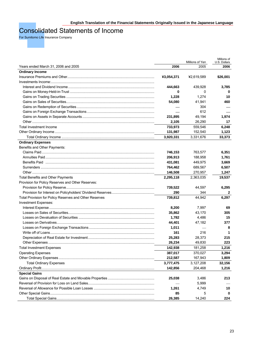# Consolidated Statements of Income

For Sumitomo Life Insurance Company

|                                                        |            | Millions of Yen | Millions of<br>U.S. Dollars |
|--------------------------------------------------------|------------|-----------------|-----------------------------|
| Years ended March 31, 2006 and 2005                    | 2006       | 2005            | 2006                        |
| <b>Ordinary Income</b>                                 |            |                 |                             |
|                                                        | ¥3,054,371 | ¥2,619,589      | \$26,001                    |
|                                                        |            |                 |                             |
|                                                        | 444,663    | 439,928         | 3,785                       |
|                                                        | 0          | 0               | 0                           |
|                                                        | 1,228      | 1,274           | 10                          |
|                                                        | 54,080     | 41,941          | 460                         |
|                                                        |            | 304             |                             |
|                                                        |            | 612             |                             |
|                                                        | 231,895    | 49,194          | 1,974                       |
|                                                        | 2,105      | 26,290          | 17                          |
| Total Investment Income                                | 733,973    | 559,546         | 6,248                       |
|                                                        | 131,987    | 152,540         | 1,123                       |
|                                                        | 3,920,331  | 3,331,676       | 33,373                      |
| <b>Ordinary Expenses</b>                               |            |                 |                             |
| Benefits and Other Payments:                           |            |                 |                             |
|                                                        | 746,153    | 763,577         | 6,351                       |
|                                                        | 206,913    | 188,958         | 1,761                       |
|                                                        | 431,081    | 449,975         | 3,669                       |
|                                                        | 764,462    | 689,567         | 6,507                       |
|                                                        | 146,508    | 270,957         | 1,247                       |
| Total Benefits and Other Payments                      | 2,295,118  | 2,363,035       | 19,537                      |
| Provision for Policy Reserves and Other Reserves:      |            |                 |                             |
|                                                        | 739,522    | 44,597          | 6,295                       |
|                                                        | 290        | 344             | 2                           |
| Total Provision for Policy Reserves and Other Reserves | 739,812    | 44,942          | 6,297                       |
| Investment Expenses:                                   |            |                 |                             |
|                                                        | 8,200      | 7,997           | 69                          |
|                                                        | 35,862     | 43,170          | 305                         |
|                                                        | 1,782      | 4,486           | 15                          |
|                                                        | 44,401     | 47,182          | 377                         |
|                                                        | 1,011      |                 | 8                           |
|                                                        | 161        | 216             | 1                           |
|                                                        | 25,283     | 28,373          | 215                         |
|                                                        | 26,234     | 49,830          | 223                         |
| <b>Total Investment Expenses</b>                       | 142,938    | 181,258         | 1,216                       |
| <b>Operating Expenses</b>                              | 387,017    | 370,027         | 3,294                       |
|                                                        | 212,587    | 167,943         | 1,809                       |
| <b>Total Ordinary Expenses</b>                         | 3,777,475  | 3,127,208       | 32,156                      |
|                                                        | 142,856    | 204,468         | 1,216                       |
| <b>Special Gains</b>                                   |            |                 |                             |
|                                                        | 25,038     | 3,486           | 213                         |
|                                                        |            | 5,999           |                             |
|                                                        | 1,261      | 4,749           | 10                          |
|                                                        | 85         | 5               | 0                           |
|                                                        | 26,385     | 14,240          | 224                         |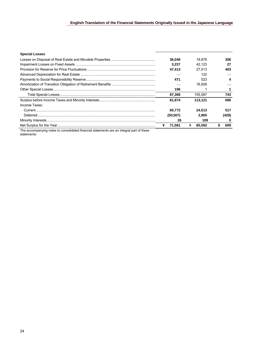# **English Translation of the Financial Statements Originally Issued in the Japanese Language**

| <b>Special Losses</b>                                                                                           |             |   |         |       |
|-----------------------------------------------------------------------------------------------------------------|-------------|---|---------|-------|
|                                                                                                                 | 36.049      |   | 18.876  | 306   |
|                                                                                                                 | 3.237       |   | 42.123  | 27    |
|                                                                                                                 | 47.413      |   | 27.013  | 403   |
|                                                                                                                 |             |   | 122     |       |
|                                                                                                                 | 471         |   | 523     |       |
|                                                                                                                 |             |   | 16.926  |       |
|                                                                                                                 | 196         |   |         |       |
|                                                                                                                 | 87,368      |   | 105.587 | 743   |
|                                                                                                                 | 81.874      |   | 113.121 | 696   |
| Income Taxes:                                                                                                   |             |   |         |       |
|                                                                                                                 | 60.772      |   | 24.513  | 517   |
|                                                                                                                 | (50, 507)   |   | 2.905   | (429) |
|                                                                                                                 | 26          |   | 109     | 0     |
|                                                                                                                 | 71,581<br>¥ | ¥ | 85.592  | 609   |
| r a constitution and a constitution of the constitution of the constitution of the constitution of the constitu |             |   |         |       |

The accompanying notes to consolidated financial statements are an integral part of these statements.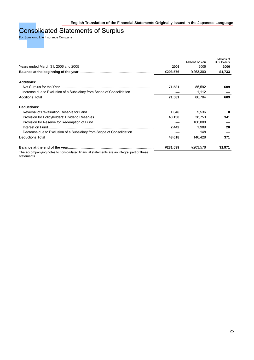# Consolidated Statements of Surplus

For Sumitomo Life Insurance Company

|          |          | Millions of<br>U.S. Dollars |
|----------|----------|-----------------------------|
|          |          | 2006                        |
| ¥203,576 | ¥263,300 | \$1,733                     |
|          |          |                             |
| 71.581   | 85,592   | 609                         |
|          | 1,112    |                             |
| 71,581   | 86,704   | 609                         |
|          |          |                             |
| 1,046    | 5,536    | 8                           |
| 40,130   | 38,753   | 341                         |
|          | 100,000  |                             |
| 2,442    | 1.989    | 20                          |
|          | 148      |                             |
| 43,618   | 146.428  | 371                         |
| ¥231,539 | ¥203.576 | \$1,971                     |
|          | 2006     | Millions of Yen<br>2005     |

The accompanying notes to consolidated financial statements are an integral part of these statements.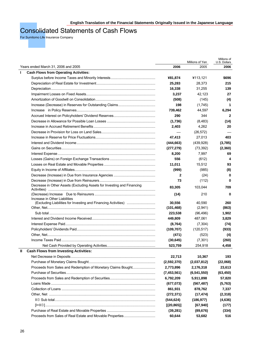# Consolidated Statements of Cash Flows

For Sumitomo Life Insurance Company

|                                                                        |             | Millions of Yen | Millions of<br>U.S. Dollars |
|------------------------------------------------------------------------|-------------|-----------------|-----------------------------|
| Years ended March 31, 2006 and 2005                                    | 2006        | 2005            | 2006                        |
| <b>Cash Flows from Operating Activities:</b><br>л.                     |             |                 |                             |
|                                                                        | ¥81,874     | ¥113,121        | \$696                       |
|                                                                        | 25,283      | 28,373          | 215                         |
|                                                                        | 16,338      | 31,255          | 139                         |
|                                                                        | 3,237       | 42,123          | 27                          |
|                                                                        | (508)       | (145)           | (4)                         |
|                                                                        | 198         | (1,745)         | $\mathbf 1$                 |
|                                                                        | 739,462     | 44,597          | 6,294                       |
|                                                                        | 290         | 344             | $\mathbf{2}$                |
|                                                                        | (1,736)     | (8,483)         | (14)                        |
|                                                                        | 2,403       | 4,262           | 20                          |
|                                                                        |             | (26, 572)       |                             |
|                                                                        | 47,413      | 27,013          | 403                         |
|                                                                        | (444, 663)  | (439, 928)      | (3,785)                     |
|                                                                        | (277, 279)  | (73, 392)       | (2,360)                     |
|                                                                        | 8,200       | 7,997           | 69                          |
|                                                                        | 556         | (612)           | 4                           |
|                                                                        | 11,011      | 15,512          | 93                          |
|                                                                        | (999)       | (985)           | (8)                         |
|                                                                        | 2           | (24)            | 0                           |
|                                                                        | 73          | (112)           | 0                           |
| Decrease in Other Assets (Excluding Assets for Investing and Financing | 83,305      | 103,044         | 709                         |
|                                                                        | (14)        | 210             | 0                           |
| Increase in Other Liabilities                                          | 30,556      | 40,590          | 260                         |
|                                                                        | (101, 468)  | (2,941)         | (863)                       |
|                                                                        | 223,538     | (96, 496)       | 1,902                       |
|                                                                        | 449,809     | 487,061         | 3,829                       |
|                                                                        | (8,764)     | (7,304)         | (74)                        |
|                                                                        | (109, 707)  | (120, 517)      | (933)                       |
|                                                                        | (471)       | (523)           | (4)                         |
|                                                                        | (30, 645)   | (7, 301)        | (260)                       |
|                                                                        | 523,759     | 254,918         | 4,458                       |
| <b>Cash Flows from Investing Activities:</b><br>Ш                      |             |                 |                             |
|                                                                        | 22,713      | 10,367          | 193                         |
|                                                                        | (2,592,370) | (2,037,812)     | (22,068)                    |
| Proceeds from Sales and Redemption of Monetary Claims Bought           | 2,773,896   | 2,176,318       | 23,613                      |
|                                                                        | (7,453,561) | (6, 541, 550)   | (63, 450)                   |
|                                                                        | 6,792,209   | 5,911,898       | 57,820                      |
|                                                                        | (677, 073)  | (567, 487)      | (5,763)                     |
|                                                                        | 861,931     | 878,762         | 7,337                       |
|                                                                        | (272, 371)  | (17, 474)       | (2,318)                     |
|                                                                        | (544, 624)  | (186, 977)      | (4,636)                     |
|                                                                        | [(20, 865)] | [67, 940]       | (177)                       |
|                                                                        | (39, 281)   | (89, 676)       | (334)                       |
|                                                                        | 60,644      | 53,682          | 516                         |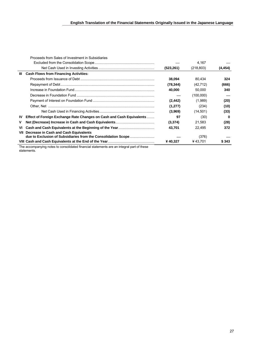|           | Proceeds from Sales of Investment in Subsidiaries                                         |            |            |          |
|-----------|-------------------------------------------------------------------------------------------|------------|------------|----------|
|           |                                                                                           |            | 4,167      |          |
|           |                                                                                           | (523, 261) | (218, 803) | (4, 454) |
| Ш         | <b>Cash Flows from Financing Activities:</b>                                              |            |            |          |
|           |                                                                                           | 38,094     | 80.434     | 324      |
|           |                                                                                           | (78, 344)  | (42, 712)  | (666)    |
|           |                                                                                           | 40,000     | 50,000     | 340      |
|           |                                                                                           |            | (100,000)  |          |
|           |                                                                                           | (2, 442)   | (1,989)    | (20)     |
|           |                                                                                           | (1,277)    | (234)      | (10)     |
|           |                                                                                           | (3,969)    | (14, 501)  | (33)     |
| <b>IV</b> | Effect of Foreign Exchange Rate Changes on Cash and Cash Equivalents                      | 97         | (30)       | 0        |
| v         |                                                                                           | (3,374)    | 21.583     | (28)     |
| VI        |                                                                                           | 43.701     | 22.495     | 372      |
| VII       | Decrease in Cash and Cash Equivalents                                                     |            |            |          |
|           | due to Exclusion of Subsidiaries from the Consolidation Scope                             |            | (376)      |          |
|           |                                                                                           | ¥40,327    | ¥43.701    | \$343    |
|           | The accompanying notes to consolidated financial statements are an integral part of these |            |            |          |

statements.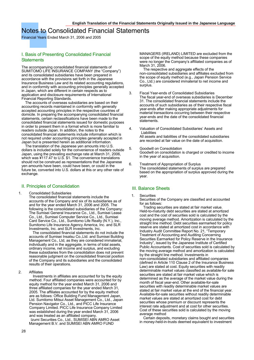# Notes to Consolidated Financial Statements

Financial Years Ended March 31, 2006 and 2005

### I. Basis of Presenting Consolidated Financial **Statements**

The accompanying consolidated financial statements of SUMITOMO LIFE INSURANCE COMPANY (the "Company") and its consolidated subsidiaries have been prepared in accordance with the provisions set forth in the Japanese Insurance Business Law and its related accounting regulations, and in conformity with accounting principles generally accepted in Japan, which are different in certain respects as to application and disclosure requirements of International Financial Reporting Standards.

 The accounts of overseas subsidiaries are based on their accounting records maintained in conformity with generally accepted accounting principles in the respective countries of domicile. In preparing the accompanying consolidated financial statements, certain reclassifications have been made to the consolidated financial statements issued for domestic purposes in order to present them in a format which is more familiar to readers outside Japan. In addition, the notes to the consolidated financial statements include information which is not required under accounting principles generally accepted in Japan but is presented herein as additional information.

 The translation of the Japanese yen amounts into U.S. dollars is included solely for the convenience of readers outside Japan, using the prevailing exchange rate at March 31, 2006, which was ¥117.47 to U.S. \$1. The convenience translations should not be construed as representations that the Japanese yen amounts have been, could have been, or could in the future be, converted into U.S. dollars at this or any other rate of exchange.

### II. Principles of Consolidation

#### 1. Consolidated Subsidiaries

The consolidated financial statements include the accounts of the Company and six of its subsidiaries as of and for the year ended March 31, 2006 and 2005. The following is the consolidated subsidiaries of the Company: The Sumisei General Insurance Co., Ltd., Sumisei Lease Co., Ltd., Sumisei Computer Service Co., Ltd., Sumisei Card Service Co., Ltd., Sumitomo Life Realty (N.Y.), Inc., Sumitomo Life Insurance Agency America, Inc. and SLR Investments, Inc. and SLR Investments, Inc.

 The consolidated financial statements do not include the accounts of Sumisei Insatsu Co.,Ltd. and Sumisei Building Management Co., Ltd, as they are considered immaterial, individually and in the aggregate, in terms of total assets, ordinary income, net income and surplus, and excluding these subsidiaries from the consolidation does not prevent reasonable judgment on the consolidated financial position of the Company and its subsidiaries and the consolidated results of their operations.

2. Affiliates

Investments in affiliates are accounted for by the equity method. Four affiliated companies were accounted for by equity method for the year ended March 31, 2006 and three affiliated companies for the year ended March 31, 2005. The affiliates accounted for by the equity method are as follows: Office Building Fund Management Japan, Ltd. Sumitomo Mitsui Asset Management Co., Ltd., Japan Pension Navigator Co., Ltd., and PICC Life Insurance Company Limited. PICC Life Insurance Company Limited was established during the year ended March 31, 2006 and was treated as an affiliated company. Izumi Securities Co., Ltd., SUMISEI ABN AMRO Asset Management B.V. and SUMISEI ABN AMRO FUND

MANAGERS (IRELAND) LIMITED are excluded from the scope of the equity method because these companies were no longer the Company's affiliated companies as of March 31, 2006.

 The respective and aggregate effects of the non-consolidated subsidiaries and affiliates excluded from the scope of equity method (e.g., Japan Pension Service Co., Ltd.) are considered immaterial to net income and surplus.

- 3. Fiscal Year-ends of Consolidated Subsidiaries The fiscal year-end of overseas subsidiaries is December 31. The consolidated financial statements include the accounts of such subsidiaries as of their respective fiscal year-ends after making appropriate adjustments for material transactions occurring between their respective year-ends and the date of the consolidated financial **statements**
- 4. Valuation of Consolidated Subsidiaries' Assets and Liabilities All assets and liabilities of the consolidated subsidiaries are recorded at fair value on the date of acquisition.
- 5. Goodwill on Consolidation Goodwill on consolidation is charged or credited to income in the year of acquisition.
- 6. Treatment of Appropriation of Surplus The consolidated statements of surplus are prepared based on the appropriation of surplus approved during the year.

#### III. Balance Sheets

#### 1. Securities

Securities of the Company are classified and accounted for as follows:

 Trading securities are stated at fair market value. Held-to-maturity debt securities are stated at amortized cost and the cost of securities sold is calculated by the moving average method. Amortization is calculated by the straight line method. Debt securities earmarked for policy reserve are stated at amortized cost in accordance with Industry Audit Committee Report No. 21, "Temporary Treatment of Accounting and Auditing Concerning Securities Earmarked for Policy Reserve in the Insurance Industry", issued by the Japanese Institute of Certified Public Accountants. Cost of securities sold is calculated by the moving average method and amortization is calculated by the straight line method. Investments in non-consolidated subsidiaries and affiliated companies (defined in Article 110 Clause 2 of the Insurance Business Law) are stated at cost. Equity securities with readily determinable market values classified as available-for sale securities are stated at fair market value which is determined as the average of the market value during the month of fiscal year-end. Other available-for-sale securities with readily determinable market values are stated at fair market value at the end of the financial year. Available-for-sale securities without readily determinable market values are stated at amortized cost for debt securities whose premium or discount represents the interest rate adjustment and at cost for other securities. Cost of these securities sold is calculated by the moving average method

 Certain deposits, monetary claims bought and securities in money-held-in-trusts deemed equivalent to investment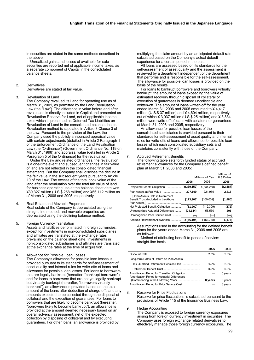in securities are stated in the same methods described in the above.

 Unrealized gains and losses of available-for-sale securities are reported net of applicable income taxes, as a separate component of Capital in the consolidated balance sheets.

#### 2. Derivatives

Derivatives are stated at fair value.

3. Revaluation of Land

The Company revalued its Land for operating use as of March 31, 2001, as permitted by the Land Revaluation Law (the "Law"). The difference in value before and after revaluation is directly included in Capital and presented as Revaluation Reserve for Land, net of applicable income taxes which is presented as Deferred Tax Liabilities on Revaluation of Land in the consolidated balance sheets. Revaluation method is stipulated in Article 3 Clause 3 of the Law. Pursuant to the provision of the Law, the Company used the publicly announced appraisal value with certain adjustments (detailed in Article 2 Paragraph 1 of the Enforcement Ordinance of the Land Revaluation Law (the "Ordinance") (Government Ordinance No. 119 on March 31, 1998) and appraisal value (detailed in Article 2 Paragraph 5 of the Ordinance) for the revaluation.

 Under the Law and related ordinances, the revaluation is a one-time event and subsequent changes in fair value of land are not reflected in the consolidated financial statements. But the Company shall disclose the decline in the fair value in the subsequent years pursuant to Article 10 of the Law. The excess of the total book value of the land after the revaluation over the total fair value of land for business operating use at the balance sheet date was ¥30,327 million (U.S.\$ 258 million) and ¥66,112 million as of March 31, 2006 and 2005, respectively.

- 4. Real Estate and Movable Properties Real estate of the Company is depreciated using the straight-line method, and movable properties are depreciated using the declining balance method.
- 5. Foreign Currency Translation Assets and liabilities denominated in foreign currencies, except for investments in non-consolidated subsidiaries and affiliates are translated at the exchange rates prevailing on the balance sheet date. Investments in non-consolidated subsidiaries and affiliates are translated at the exchange rates at the time of acquisition.
- 6. Allowance for Possible Loan Losses The Company's allowance for possible loan losses is provided pursuant to its standards for self-assessment of asset quality and internal rules for write-offs of loans and allowance for possible loan losses. For loans to borrowers that are legally bankrupt (hereafter, "bankrupt borrowers") and for loans to borrowers that are not yet legally bankrupt but virtually bankrupt (hereafter, "borrowers virtually bankrupt"), an allowance is provided based on the total amount of the loans after deduction of charge-offs and any amounts expected to be collected through the disposal of collateral and the execution of guarantees. For loans to borrowers that are likely to become bankrupt (hereafter, "borrowers likely to become bankrupt"), an allowance is provided at the amount deemed necessary based on an overall solvency assessment, net of the expected collection by disposing of collateral and by executing guarantees. For other loans, an allowance is provided by

multiplying the claim amount by an anticipated default rate calculated based on the Company's actual default experience for a certain period in the past.

 All loans are assessed based on its standards for the self-assessment of asset quality and the assessment is reviewed by a department independent of the department that performs and is responsible for the self-assessment. The allowance for possible loan losses is provided on the basis of the results.

 For loans to bankrupt borrowers and borrowers virtually bankrupt, the amount of loans exceeding the value of estimated recovery through disposal of collateral or execution of guarantees is deemed uncollectible and written-off. The amount of loans written-off for the year ended March 31, 2006 and 2005 amounted to  $44,417$ million (U.S.\$ 37 million) and ¥ 4,604 million, respectively, out of which  $\angle$  3,037 million (U.S.\$ 25 million) and  $\angle$  3,834 million were write-off of loans with collateral or guarantees at March 31, 2006 and 2005, respectively.

 An allowance for possible loan losses of the consolidated subsidiaries is provided pursuant to their standards for self-assessment of asset quality and internal rules for write-offs of loans and allowance for possible loan losses which each consolidated subsidiary sets and maintains consistently with those of the Company.

#### 7. Accrued Retirement Benefits

The following table sets forth funded status of accrued retirement allowances for the Company's defined benefit plan at March 31, 2006 and 2005:

|                                                                         | Millions of Yen |              | Millions of<br>U.S.Dollars |
|-------------------------------------------------------------------------|-----------------|--------------|----------------------------|
|                                                                         | 2006            | 2005         | 2006                       |
| Projected Benefit Obligation                                            | ¥(339,159)      | ¥(334,268)   | \$(2,887)                  |
| Plan Assets at Fair Value                                               | 307,199         | 221,959      | 2,615                      |
| [Plan Assets Held in Retirement<br>Benefit Trust (Included in the Above | [173,903]       | [100, 002]   | [1,480]                    |
| Net Projected Benefit Obligation                                        | (31,960)        | (112, 309)   | (272)                      |
| Unrecognized Actuarial Differences                                      | (24, 144)       | 58,560       | 205                        |
| Unrecognized Prior Service Cost                                         |                 |              | Н                          |
| Accrued Retirement Allowances                                           | ¥ $(56.104)$    | ¥ $(53.748)$ | \$(477)                    |

Assumptions used in the accounting for the defined benefit plans for the years ended March 31, 2006 and 2005 are as follows:

 Method of attributing benefit to period of service: straight-line basis

|                                                                                                | 2006    | 2005    |
|------------------------------------------------------------------------------------------------|---------|---------|
|                                                                                                | 2.0%    | 2.0%    |
| Long-term Rates of Return on Plan Assets:                                                      |         |         |
| Tax Qualified Retirement Pension Plan                                                          | 1.9%    | 2.0%    |
|                                                                                                | $0.0\%$ | $0.0\%$ |
| Amortization Period for Transition Obligation<br>Amortization Period for Actuarial Differences |         | 5 years |
|                                                                                                | 8 years | 8 years |
| Amortization Period for Prior Service Cost                                                     |         | 3 years |

8. Reserve for Price Fluctuations Reserve for price fluctuations is calculated pursuant to the provisions of Article 115 of the Insurance Business Law.

9. Hedge Accounting

The Company is exposed to foreign currency exposures arising from foreign currency investment in securities. The Company uses foreign exchange related derivatives to effectively manage those foreign currency exposures. The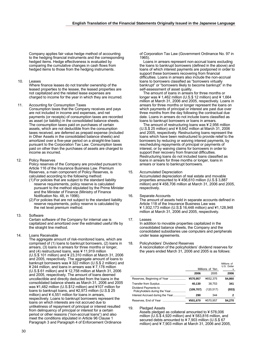Company applies fair value hedge method of accounting to the hedging financial instruments and the corresponding hedged items. Hedge effectiveness is evaluated by comparing the cumulative changes in cash flows from hedged items to those from the hedging instruments.

10. Leases

Where finance leases do not transfer ownership of the leased properties to the lessee, the leased properties are not capitalized and the related lease expenses are charged to income for the year in which they are incurred.

11. Accounting for Consumption Taxes

Consumption taxes that the Company receives and pays are not included in income and expenses, and net payments (or receipts) of consumption taxes are recorded as asset (or liability) in the consolidated balance sheets. The consumption taxes paid on purchases of certain assets, which are not deductible from the consumption taxes received, are deferred as prepaid expense (included in Other Assets in the consolidated balance sheets) and amortized over a five-year period on a straight-line basis pursuant to the Corporation Tax Law. Consumption taxes paid on other than the purchases of assets are charged to income as incurred.

12. Policy Reserves

Policy reserves of the Company are provided pursuant to Article 116 of the Insurance Business Law. Premium Reserves, a main component of Policy Reserves, is calculated according to the following method:

- (1) For policies that are subject to the standard liability reserve requirements, policy reserve is calculated pursuant to the method stipulated by the Prime Minister and the Minister of Finance (Ministry of Finance Notification No. 48, in 1996).
- (2) For policies that are not subject to the standard liability reserve requirements, policy reserve is calculated by the net level premium method.
- 13. Software

Certain software of the Company for internal use is capitalized and amortized over the estimated useful life by the straight line method.

14. Loans Receivable

The aggregate amount of risk-monitored loans, which are comprised of (1) loans to bankrupt borrowers, (2) loans in arrears, (3) loans in arrears for three months or longer, and (4) restructured loans, was ¥ 11,919 million (U.S.\$ 101 million) and ¥ 23,310 million at March 31, 2006 and 2005, respectively. The aggregate amount of loans to bankrupt borrowers was ¥ 322 million (U.S.\$ 2 million) and ¥ 244 million, and loans in arrears was ¥ 7,178 million (U.S.\$ 61 million) and ¥ 12,758 million at March 31, 2006 and 2005, respectively. The amount of loans deemed uncollectible and directly deducted from the loans in the consolidated balance sheets as March 31, 2006 and 2005 was ¥1,482 million (U.S.\$12 million) and ¥107 million for loans to bankrupt loans, and ¥2,973 million (U.S.\$ 25 million) and  $44,551$  million for loans in arrears, respectively. Loans to bankrupt borrowers represent the loans on which interests are not accrued due to unlikeliness of repayment of principal or interest resulted from delinquency of principal or interest for a certain period or other reasons ("non-accrual loans") and also meet the conditions stipulated in Article 96 Clause 1 Paragraph 3 and Paragraph 4 of Enforcement Ordinance

of Corporation Tax Law (Government Ordinance No. 97 in 1965).

 Loans in arrears represent non-accrual loans excluding the loans to bankrupt borrowers (defined in the above) and loans of which interest payments are postponed in order to support these borrowers recovering from financial difficulties. Loans in arrears also include the non-accrual loans to borrowers classified as "borrowers virtually bankrupt" or "borrowers likely to become bankrupt" in the self-assessment of asset quality.

 The amount of loans in arrears for three months or longer was  $41,462$  million (U.S.\$ 12 million) and  $41,664$ million at March 31, 2006 and 2005, respectively. Loans in arrears for three months or longer represent the loans on which payments of principal or interest are past due over three months from the day following the contractual due date. Loans in arrears do not include loans classified as loans to bankrupt borrowers or loans in arrears.

The amount of restructuring loans was  $42,956$  million (U.S.\$ 25 million) and ¥ 8,642 million at March 31, 2006 and 2005, respectively. Restructuring loans represent the loans which have been restructured to provide relief to the borrowers by reducing or waiving interest payments, by rescheduling repayments of principal or payments of interest, or by waiving claims for borrowers in order to support their recovery from financial difficulties. Restructuring loans do not included loans classified as loans in arrears for three months or longer, loans in arrears or loans to bankrupt borrowers.

#### 15. Accumulated Depreciation

Accumulated depreciation of real estate and movable properties amounted to ¥ 456,610 million (U.S.\$ 3,887 million) and ¥ 458,706 million at March 31, 2006 and 2005, respectively.

- 16. Separate Accounts The amount of assets held in separate accounts defined in Article 118 of the Insurance Business Law was ¥ 1,932,173 million (U.S.\$ 16,448 million) and ¥1,128,948 million at March 31, 2006 and 2005, respectively.
- 17. Leases

In addition to movable properties capitalized in the consolidated balance sheets, the Company and the consolidated subsidiaries use computers and peripherals under lease agreements.

#### 18. Policyholders' Dividend Reserves A reconciliation of the policyholders' dividend reserves for the years ended March 31, 2006 and 2005 is as follows:

|                                                       |            | Millions of Yen | Millions of<br>U.S. Dollar<br>s |
|-------------------------------------------------------|------------|-----------------|---------------------------------|
|                                                       | 2006       | 2005            | 2006                            |
| Reserves, Beginning of Year                           | ¥570,957   | ¥652.375        | \$4,860                         |
|                                                       | 40,130     | 38.753          | 341                             |
| Dividend Payments to<br>Policyholders during the Year | (109, 707) | (120, 517)      | (933)                           |
| Interest Accrued during the Year                      | 290        | 344             | 2                               |
|                                                       | ¥501,670   | ¥570.957        | \$4,270                         |

19. Pledged Assets

Assets pledged as collateral amounted to ¥ 578,006 million (U.S.\$ 4,920 million) and ¥ 583,816 million, and secured debts amounted to ¥7,903 million (U.S.\$ 67 million) and  $\frac{1}{2}$  7,903 million at March 31, 2006 and 2005,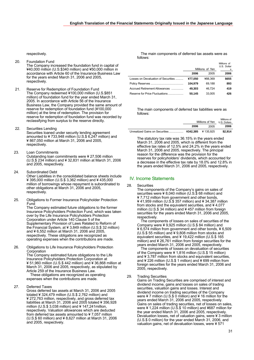respectively.

- 20. Foundation Fund The Company increased the foundation fund in capital of ¥40,000 million (U.S.\$340 million) and ¥50,000 million in accordance with Article 60 of the Insurance Business Law for the years ended March 31, 2006 and 2005, respectively.
- 21. Reserve for Redemption of Foundation Fund The Company redeemed ¥100,000 million (U.S.\$851 million) of foundation fund for the year ended March 31, 2005. In accordance with Article 56 of the Insurance Business Law, the Company provided the same amount of reserve for redemption of foundation fund (¥100,000 million) at the time of redemption. The provision for reserve for redemption of foundation fund was recorded by reclassifying from surplus to the reserve directly.
- 22. Securities Lending Securities loaned under security lending agreement amounted to ¥ 733,948 million (U.S.\$ 6,247 million) and ¥ 867,050 million at March 31, 2006 and 2005, respectively.
- 23. Loan Commitments Outstanding loan commitments were ¥ 27,506 million (U.S.\$ 234 million) and ¥ 32,831 million at March 31, 2006 and 2005, respectively.
- 24. Subordinated Debt Other Liabilities in the consolidated balance sheets include ¥ 395,000 million (U.S.\$ 3,362 million) and ¥ 435,000 million of borrowings whose repayment is subordinated to other obligations at March 31, 2006 and 2005, respectively.
- 25. Obligations to Former Insurance Policyholder Protection Fund

The Company estimated future obligations to the former Insurance Policyholders Protection Fund, which was taken over by the Life Insurance Policyholders Protection Corporation under Article 140 Clause 5 of the Supplementary Provision of Laws Related to Reform of the Financial System, at ¥ 3,849 million (U.S.\$ 32 million) and ¥ 6,552 million at March 31, 2006 and 2005, respectively. These obligations are recognized as operating expenses when the contributions are made.

26. Obligations to Life Insurance Policyholders Protection Corporation

The Company estimated future obligations to the Life Insurance Policyholders Protection Corporation at ¥ 51,960 million (U.S.\$ 442 million) and ¥ 36,868 million at March 31, 2006 and 2005, respectively, as stipulated by Article 259 of the Insurance Business Law.

 These obligations are recognized as operating expenses when the contributions are made.

27. Deferred Taxes

Gross deferred tax assets at March 31, 2006 and 2005 totaled ¥ 324,479 million (U.S.\$ 2,762 million) and ¥ 272,763 million, respectively, and gross deferred tax liabilities at March 31, 2006 and 2005 totaled ¥ 356,928 million (U.S.\$ 3,038 million) and ¥ 147,241million, respectively. Valuation allowances which are deducted from deferred tax assets amounted to ¥ 7,057 million (U.S.\$ 60 million) and ¥ 8,627 million at March 31, 2006 and 2005, respectively.

 The main components of deferred tax assets were as follows:

|                                     |         | Millions of Yen | Millions of<br>U.S. Dollar<br>s |
|-------------------------------------|---------|-----------------|---------------------------------|
|                                     | 2006    | 2005            | 2006                            |
| Losses on Devaluation of Securities | ¥77.050 | ¥88.369         | \$655                           |
|                                     | 104.979 | 69.188          | 893                             |
| Accrued Retirement Allowances       | 49.303  | 46.724          | 419                             |
| Reserve for Price Fluctuations      | 50.145  | 33.005          | 426                             |

The main components of deferred tax liabilities were as follows:

|      | Millions of Yen | Millions of<br>U.S. Dollars |
|------|-----------------|-----------------------------|
| 2006 | 2005            | 2006                        |
|      |                 | \$2,914                     |

The statutory tax rate was 36.15% in the years ended March 31, 2006 and 2005, which is different from the effective tax rates of 12.5% and 24.2% in the years ended March 31, 2006 and 2005, respectively. The principal reason for the difference was the provision for the reserves for policyholders' dividends, which accounted for a decrease in the effective tax rate by 18.0% and 12.8% in the years ended March 31, 2006 and 2005, respectively.

# IV. Income Statements

#### 28. Securities

The components of the Company's gains on sales of securities were ¥ 8,040 million (U.S.\$ 68 million) and ¥ 7,712 million from government and other bonds, ¥ 41,959 million (U.S.\$ 357 million) and ¥ 34,387 million from stocks and the equivalent securities, and ¥ 4,077 million (U.S.\$ 34 million) and ¥ 457 million from foreign securities for the years ended March 31, 2006 and 2005, respectively.

 The components of losses on sales of securities of the Company were ¥ 9,925 million (U.S.\$ 84 million) and ¥ 6,574 million from government and other bonds, ¥ 6,509 (U.S.\$ 55 million) and ¥ 9,808 million from stocks and equivalent securities, and ¥ 19,422 million (U.S.\$ 165 million) and ¥ 26,761 million from foreign securities for the years ended March 31, 2006 and 2005, respectively.

 The components of losses on devaluation of securities of the Company were ¥ 1,816 million (U.S.\$ 15 million) and ¥ 3,787 million from stocks and equivalent securities, and ¥ 226 million (U.S.\$ 1 million) and ¥ 699 million from foreign securities for the years ended March 31, 2006 and 2005, respectively.

29. Trading Securities

Gains on Trading Securities are comprised of interest and dividend income, gains and losses on sales of trading securities, valuation gains and losses. Interest and dividend income on trading securities of the Company were ¥ 7 million (U.S.\$ 0 million) and ¥ 16 million for the years ended March 31, 2006 and 2005, respectively. Gains on sales of trading securities, net of losses on sales, were ¥ 1,224 million (U.S.\$ 10 million) and ¥687 million for the year ended March 31, 2006 and 2005, respectively. Devaluation losses, net of valuation gains, were ¥ 3 million (U.S.\$ 0 million) for the year ended March 31, 2006, and valuation gains, net of devaluation losses, were ¥ 571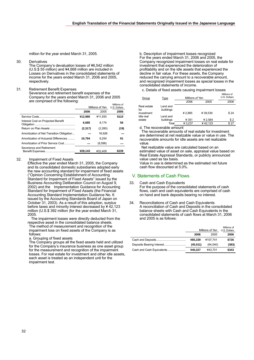million for the year ended March 31, 2005.

#### 30. Derivatives

The Company's devaluation losses of ¥6,542 million (U.S.\$ 55 million) and ¥4,668 million are included in Losses on Derivatives in the consolidated statements of income for the years ended March 31, 2006 and 2005, respectively.

#### 31. Retirement Benefit Expenses

Severance and retirement benefit expenses of the Company for the years ended March 31, 2006 and 2005 are comprised of the following:

|                                           | Millions of Yen |         | Millions of<br>U.S. Dollars |
|-------------------------------------------|-----------------|---------|-----------------------------|
|                                           | 2006            | 2005    | 2006                        |
|                                           | ¥12,980         | ¥11.930 | \$110                       |
| Interest Cost on Projected Benefit        | 6.685           | 8.174   | 56                          |
|                                           | (2,317)         | (2,280) | (19)                        |
| Amortization of Net Transition Obligation |                 | 16.926  |                             |
| Amortization of Actuarial Differences     | 10.794          | 6.254   | 91                          |
| Amortization of Prior Service Cost        |                 | (8,596) |                             |
| Severance and Retirement                  | ¥28.143         | ¥32.409 | \$239                       |

#### 32. Impairment of Fixed Assets

Effective the year ended March 31, 2005, the Company and its consolidated domestic subsidiaries adopted early the new accounting standard for impairment of fixed assets ("Opinion Concerning Establishment of Accounting Standard for Impairment of Fixed Assets" issued by the Business Accounting Deliberation Council on August 9, 2002) and the Implementation Guidance for Accounting Standard for Impairment of Fixed Assets (the Financial Accounting Standard Implementation Guidance No. 6 issued by the Accounting Standards Board of Japan on October 31, 2003). As a result of this adoption, surplus before taxes and minority interest decreased by ¥ 42,123 million (U.S.\$ 392 million )for the year ended March 31, 2005.

The impairment losses were directly deducted from the respective asset in the consolidated balance sheets. The method of measurement and recognition of the impairment loss on fixed assets of the Company is as follows:

#### a. Grouping of fixed assets

The Company groups all the fixed assets held and utilized for the Company's insurance business as one asset group for the measurement and recognition of the impairment losses. For real estate for investment and other idle assets, each asset is treated as an independent unit for the impairment test.

b. Description of impairment losses recognized For the years ended March 31, 2006 and 2005, the Company recognized impairment losses on real estate for investment that experienced the deterioration of profitability and on the idle assets that experienced the decline in fair value. For these assets, the Company reduced the carrying amount to a recoverable amount, and recognized impairment losses as special losses in the consolidated statements of income.

c. Details of fixed assets causing impairment losses

| 2006<br>2005<br>Real estate<br>Land and<br>for<br>buildings<br>investment<br>¥2.885<br>¥ 39.539<br>Idle real<br>Land and<br>¥ 2,584<br>¥ 351<br>estate<br>buildings<br>¥42.123<br>¥3.237<br>Total | Group | Type | Millions of Yen |  | Millions of<br>U.S. Dollars |
|---------------------------------------------------------------------------------------------------------------------------------------------------------------------------------------------------|-------|------|-----------------|--|-----------------------------|
|                                                                                                                                                                                                   |       |      |                 |  | 2006                        |
|                                                                                                                                                                                                   |       |      |                 |  |                             |
|                                                                                                                                                                                                   |       |      |                 |  | \$24                        |
|                                                                                                                                                                                                   |       |      |                 |  | \$2                         |
|                                                                                                                                                                                                   |       |      |                 |  | \$ 27                       |

d. The recoverable amount

 The recoverable amounts of real estate for investment are determined at net realizable value or value in use. The recoverable amounts for idle assets are net realizable value.

 Net realizable value are calculated based on an estimated value of asset on sale, appraisal value based on Real Estate Appraisal Standards, or publicly announced value used as tax basis.

Value in use is determined as the estimated net future cash flow discounted at 5.0%.

### V. Statements of Cash Flows

33. Cash and Cash Equivalents For the purpose of the consolidated statements of cash flows, cash and cash equivalents are comprised of cash on hand and bank deposits bearing no interest.

34. Reconciliations of Cash and Cash Equivalents A reconciliation of Cash and Deposits in the consolidated balance sheets with Cash and Cash Equivalents in the consolidated statements of cash flows at March 31, 2006 and 2005 is as follows:

|                           | Millions of Yen | Millions of<br>U.S. Dollars |       |
|---------------------------|-----------------|-----------------------------|-------|
|                           | 2006            | 2005                        | 2006  |
|                           | ¥85.339         | ¥107.741                    | \$726 |
|                           | (45,011)        | (64,040)                    | (383) |
| Cash and Cash Equivalents | ¥40.327         | ¥43.701                     | \$343 |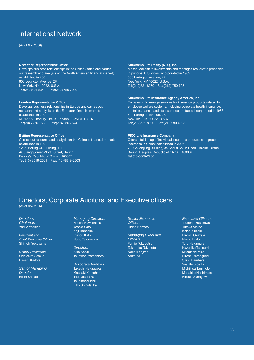# International Network

(As of Nov 2006)

#### **New York Representative Office**

Develops business relationships in the United States and carries out research and analysis on the North American financial market; established in 2001 600 Lexington Avenue, 2F, New York, NY 10022, U.S.A. Tel:(212)521-8340 Fax:(212) 750-7930

#### **London Representative Office**

Develops business relationships in Europe and carries out research and analysis on the European financial market; established in 2001 6F, 12-15 Finsbury Circus, London EC2M 7BT, U. K. Tel:(20) 7256-7630 Fax:(20)7256-7624

#### **Beijing Representative Office**

Carries out research and analysis on the Chinese financial market; established in 1991 1205, Beijing CR Building, 12F A8 Jiangguomen-North Street, Beijing, People's Republic of China 100005 Tel: (10) 8519-2501 Fax: (10) 8519-2503

#### **Sumitomo Life Realty (N.Y.), Inc.**

Makes real estate investments and manages real estate properties in principal U.S. cities; incorporated in 1982 600 Lexington Avenue, 2F, New York, NY 10022, U.S.A. Tel:(212)521-8370 Fax:(212) 750-7931

#### **Sumitomo Life Insurance Agency America, Inc.**

Engages in brokerage services for insurance products related to employee welfare systems, including corporate health insurance, dental insurance, and life insurance products; incorporated in 1986 600 Lexington Avenue, 2F, New York, NY 10022, U.S.A. Tel:(212)521-8300 Fax:(212)980-4008

#### **PICC Life Insurance Company**

Offers a full lineup of individual insurance products and group insurance in China; established in 2005 7 F Chuangjing Building, 38 Shouti South Road, Haidian District, Beijing, People's Republic of China 100037 Tel:(10)5889-2738

# Directors, Corporate Auditors, and Executive officers

(As of Nov 2006)

*Directors Chairman* Yasuo Yoshino

*President and Chief Executive Officer*  Shinichi Yokoyama

*Deputy Presidents*  Shinichiro Satake Hiroshi Kadota

*Senior Managing Director*  Eiichi Shibao

*Managing Directors*  Hitoshi Kawashima Yoshio Sato Koji Hanaoka Ikunori Kato Norio Takamatsu

*Directors*  Akio Kosai Taketoshi Yamamoto

Corporate Auditors Takashi Nakagawa Masaaki Kamohara Tadayoshi Ota Takemochi Ishii Eiko Shinotsuka

*Senior Executive Officers*  Hideo Nemoto

*Managing Executive Officers*  Fumio Tokubutsu Takanobu Takimoto Noriaki Yajima Arata Ito

*Executive Officers*  Tsutomu Yasukawa Yutaka Amino Koichi Suzaki Hiroshi Okazaki Haruo Urata Toru Nakamura Kazuhiko Tsutsumi Mitsutoshi Mise Hiroshi Yamaguchi Shinii Haruhara Yoshiteru Saito Michihisa Tanimoto Masahiro Hashimoto Hiroaki Sunagawa